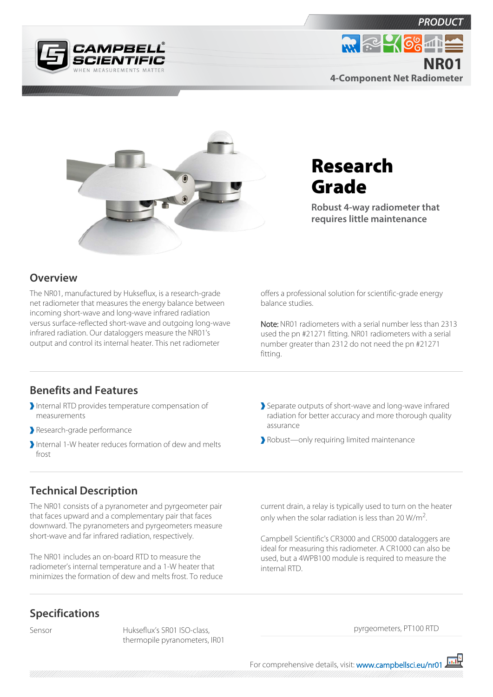



## Research Grade

**Robust 4-way radiometer that requires little maintenance**

## **Overview**

The NR01, manufactured by Hukseflux, is a research-grade net radiometer that measures the energy balance between incoming short-wave and long-wave infrared radiation versus surface-reflected short-wave and outgoing long-wave infrared radiation. Our dataloggers measure the NR01's output and control its internal heater. This net radiometer

offers a professional solution for scientific-grade energy balance studies.

Note: NR01 radiometers with a serial number less than 2313 used the pn #21271 fitting. NR01 radiometers with a serial number greater than 2312 do not need the pn #21271 fitting.

## **Benefits and Features**

- Internal RTD provides temperature compensation of measurements
- Research-grade performance
- Internal 1-W heater reduces formation of dew and melts frost

Separate outputs of short-wave and long-wave infrared radiation for better accuracy and more thorough quality assurance

Robust—only requiring limited maintenance

## **Technical Description**

The NR01 consists of a pyranometer and pyrgeometer pair that faces upward and a complementary pair that faces downward. The pyranometers and pyrgeometers measure short-wave and far infrared radiation, respectively.

The NR01 includes an on-board RTD to measure the radiometer's internal temperature and a 1-W heater that minimizes the formation of dew and melts frost. To reduce

**Specifications**

Sensor Hukseflux's SR01 ISO-class, thermopile pyranometers, IR01 current drain, a relay is typically used to turn on the heater only when the solar radiation is less than 20  $W/m^2$ .

Campbell Scientific's CR3000 and CR5000 dataloggers are ideal for measuring this radiometer. A CR1000 can also be used, but a 4WPB100 module is required to measure the internal RTD.

pyrgeometers, PT100 RTD